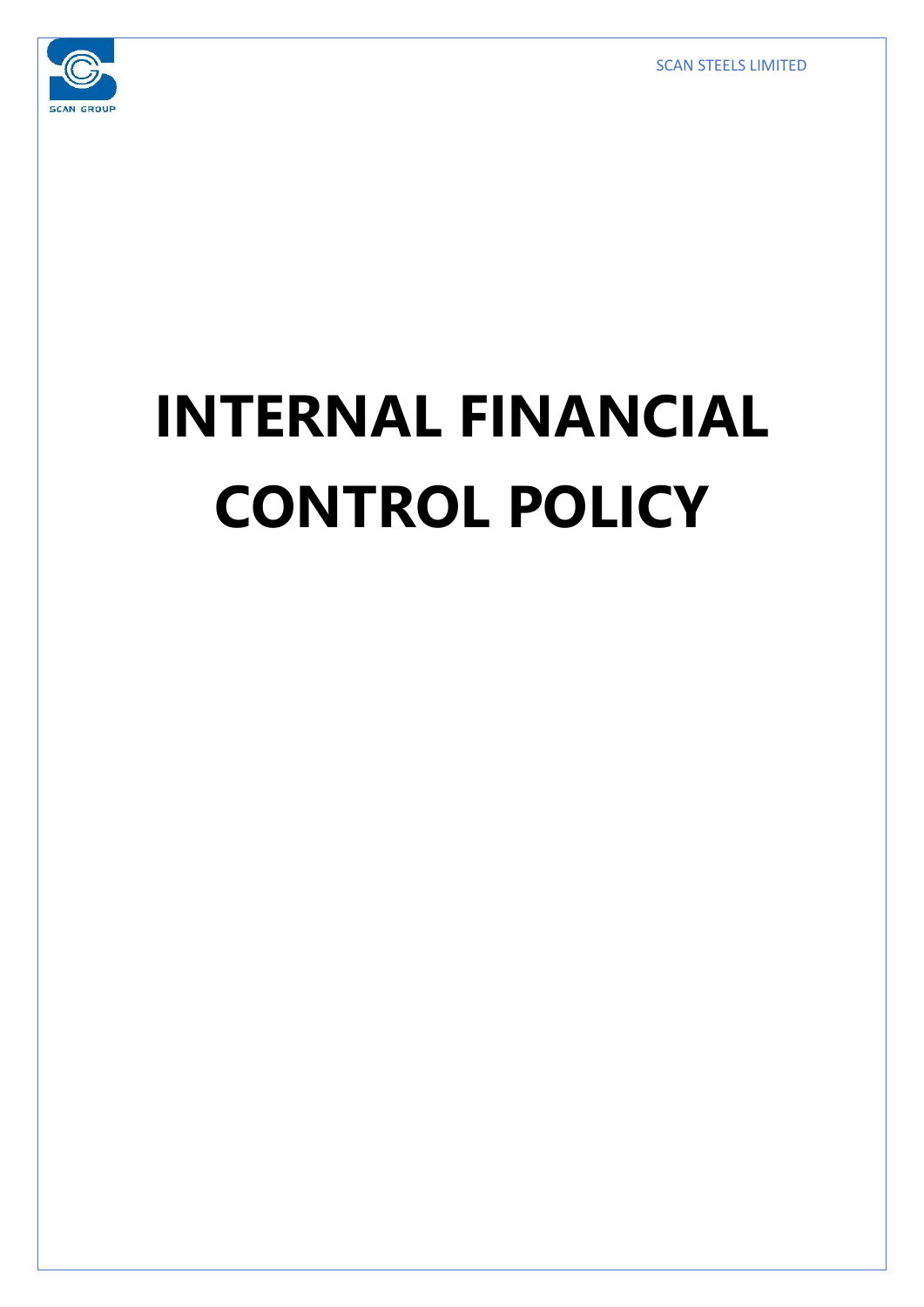SCAN STEELS LIMITED



# **INTERNAL FINANCIAL CONTROL POLICY**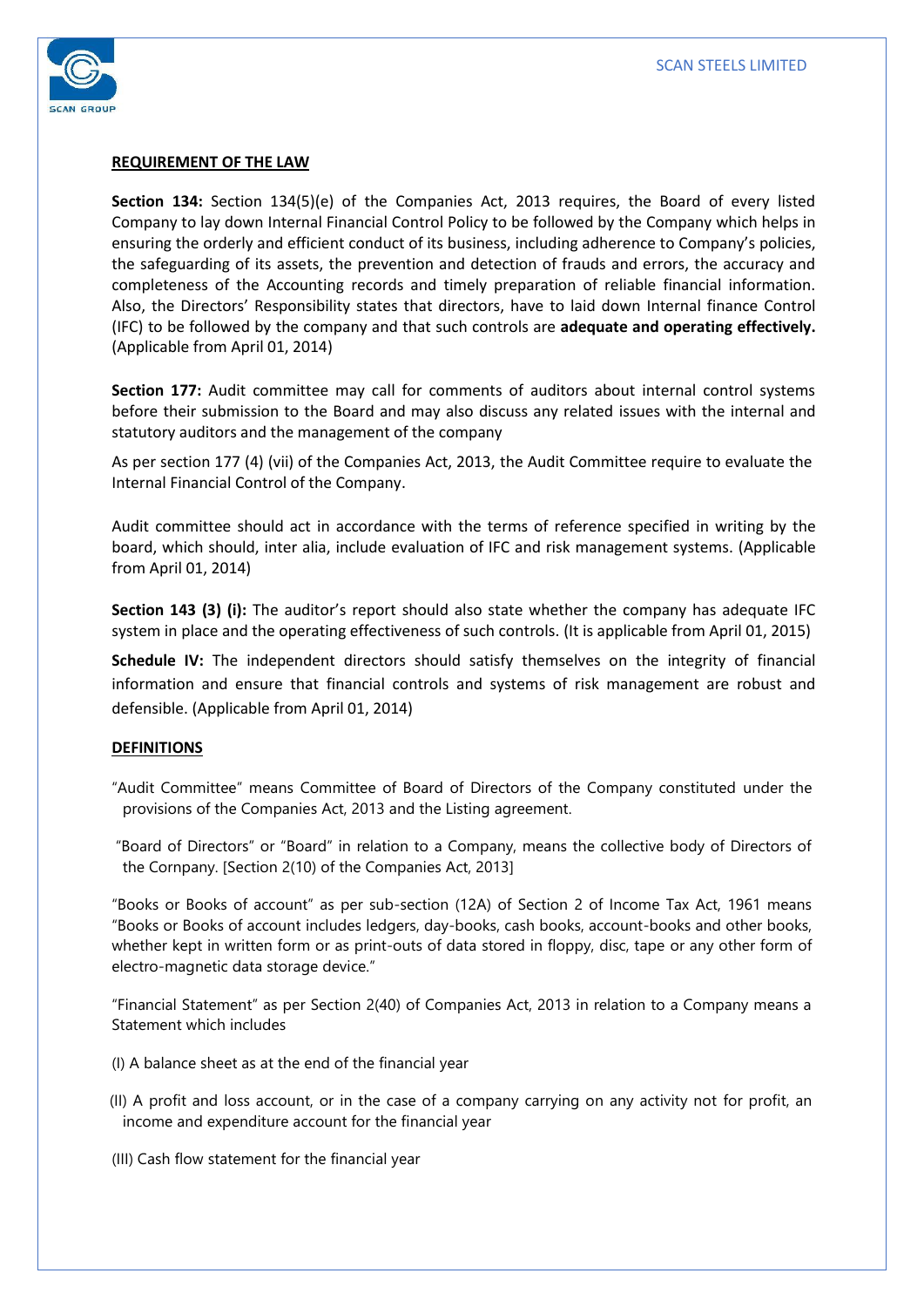

## **REQUIREMENT OF THE LAW**

**Section 134:** Section 134(5)(e) of the Companies Act, 2013 requires, the Board of every listed Company to lay down Internal Financial Control Policy to be followed by the Company which helps in ensuring the orderly and efficient conduct of its business, including adherence to Company's policies, the safeguarding of its assets, the prevention and detection of frauds and errors, the accuracy and completeness of the Accounting records and timely preparation of reliable financial information. Also, the Directors' Responsibility states that directors, have to laid down Internal finance Control (IFC) to be followed by the company and that such controls are **adequate and operating effectively.**  (Applicable from April 01, 2014)

**Section 177:** Audit committee may call for comments of auditors about internal control systems before their submission to the Board and may also discuss any related issues with the internal and statutory auditors and the management of the company

As per section 177 (4) (vii) of the Companies Act, 2013, the Audit Committee require to evaluate the Internal Financial Control of the Company.

Audit committee should act in accordance with the terms of reference specified in writing by the board, which should, inter alia, include evaluation of IFC and risk management systems. (Applicable from April 01, 2014)

**Section 143 (3) (i):** The auditor's report should also state whether the company has adequate IFC system in place and the operating effectiveness of such controls. (It is applicable from April 01, 2015)

Schedule IV: The independent directors should satisfy themselves on the integrity of financial information and ensure that financial controls and systems of risk management are robust and defensible. (Applicable from April 01, 2014)

### **DEFINITIONS**

"Audit Committee" means Committee of Board of Directors of the Company constituted under the provisions of the Companies Act, 2013 and the Listing agreement.

"Board of Directors" or "Board" in relation to a Company, means the collective body of Directors of the Cornpany. [Section 2(10) of the Companies Act, 2013]

"Books or Books of account" as per sub-section (12A) of Section 2 of Income Tax Act, 1961 means "Books or Books of account includes ledgers, day-books, cash books, account-books and other books, whether kept in written form or as print-outs of data stored in floppy, disc, tape or any other form of electro-magnetic data storage device."

"Financial Statement" as per Section 2(40) of Companies Act, 2013 in relation to a Company means a Statement which includes

- (I) A balance sheet as at the end of the financial year
- (II) A profit and loss account, or in the case of a company carrying on any activity not for profit, an income and expenditure account for the financial year
- (III) Cash flow statement for the financial year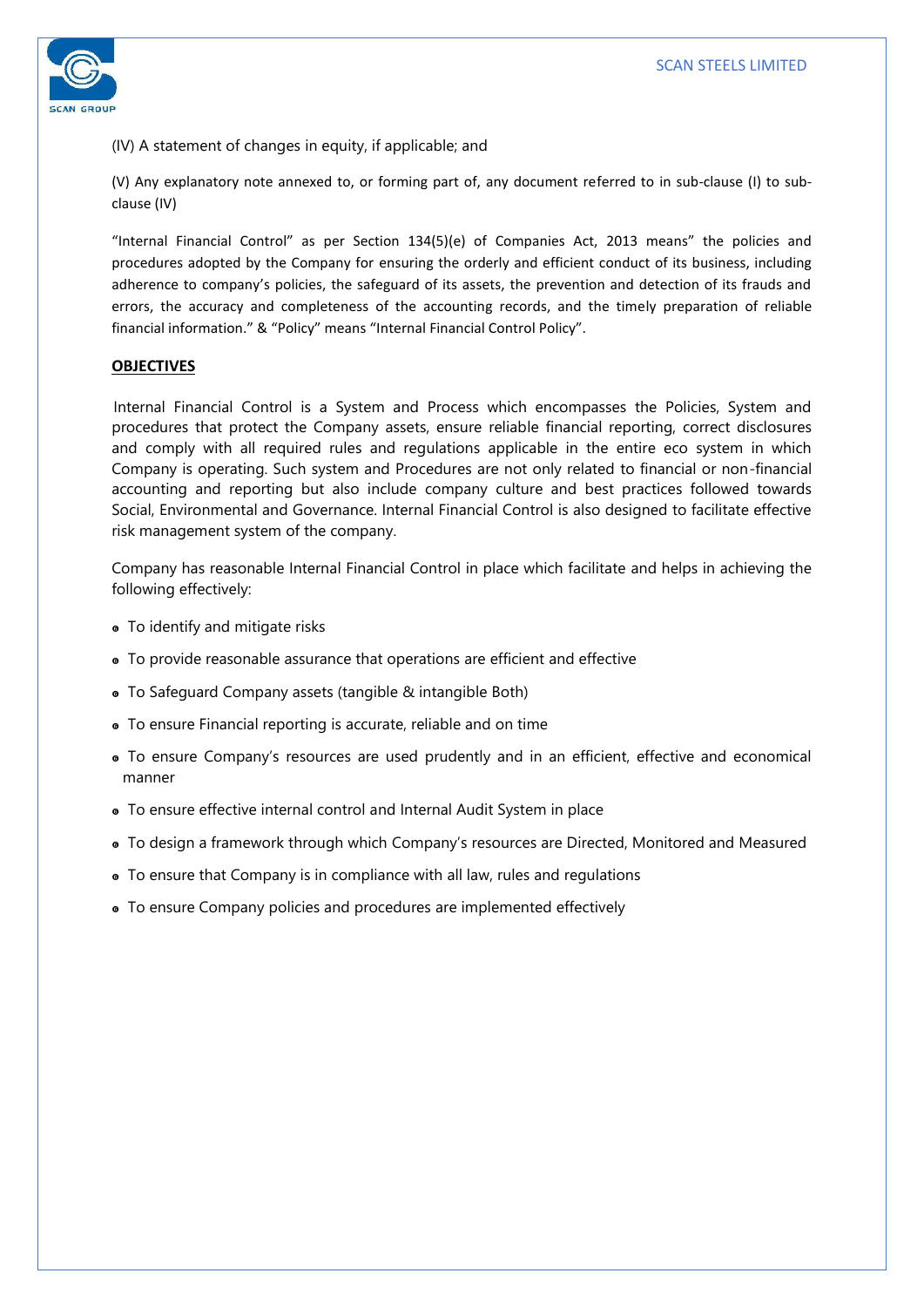

(IV) A statement of changes in equity, if applicable; and

(V) Any explanatory note annexed to, or forming part of, any document referred to in sub-clause (I) to subclause (IV)

"Internal Financial Control" as per Section 134(5)(e) of Companies Act, 2013 means" the policies and procedures adopted by the Company for ensuring the orderly and efficient conduct of its business, including adherence to company's policies, the safeguard of its assets, the prevention and detection of its frauds and errors, the accuracy and completeness of the accounting records, and the timely preparation of reliable financial information." & "Policy" means "Internal Financial Control Policy".

#### **OBJECTIVES**

 Internal Financial Control is a System and Process which encompasses the Policies, System and procedures that protect the Company assets, ensure reliable financial reporting, correct disclosures and comply with all required rules and regulations applicable in the entire eco system in which Company is operating. Such system and Procedures are not only related to financial or non-financial accounting and reporting but also include company culture and best practices followed towards Social, Environmental and Governance. Internal Financial Control is also designed to facilitate effective risk management system of the company.

Company has reasonable Internal Financial Control in place which facilitate and helps in achieving the following effectively:

- To identify and mitigate risks
- To provide reasonable assurance that operations are efficient and effective
- To Safeguard Company assets (tangible & intangible Both)
- To ensure Financial reporting is accurate, reliable and on time
- To ensure Company's resources are used prudently and in an efficient, effective and economical manner
- To ensure effective internal control and Internal Audit System in place
- To design a framework through which Company's resources are Directed, Monitored and Measured
- To ensure that Company is in compliance with all law, rules and regulations
- To ensure Company policies and procedures are implemented effectively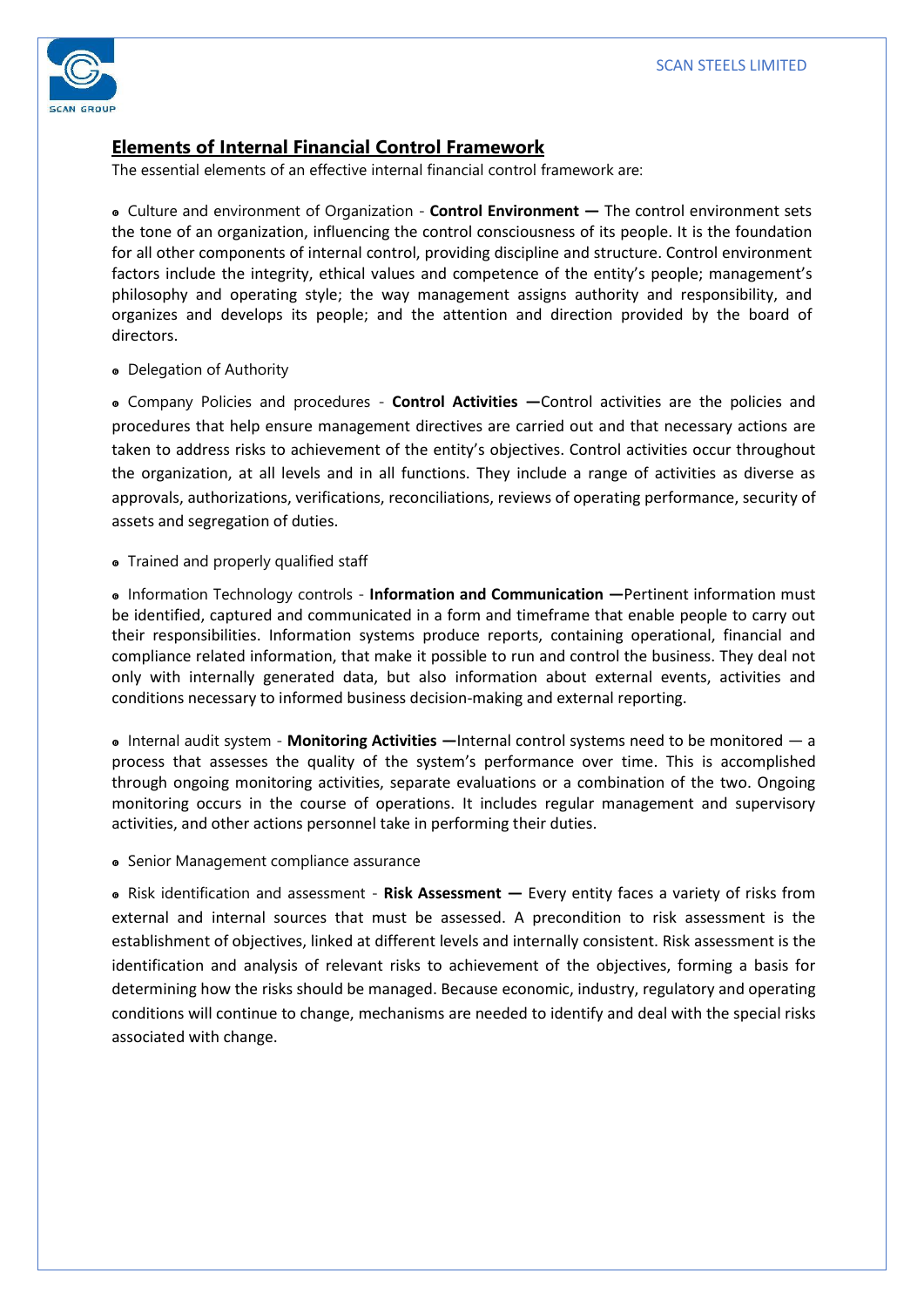

# **Elements of Internal Financial Control Framework**

The essential elements of an effective internal financial control framework are:

 Culture and environment of Organization - **Control Environment —** The control environment sets the tone of an organization, influencing the control consciousness of its people. It is the foundation for all other components of internal control, providing discipline and structure. Control environment factors include the integrity, ethical values and competence of the entity's people; management's philosophy and operating style; the way management assigns authority and responsibility, and organizes and develops its people; and the attention and direction provided by the board of directors.

Delegation of Authority

 Company Policies and procedures - **Control Activities —**Control activities are the policies and procedures that help ensure management directives are carried out and that necessary actions are taken to address risks to achievement of the entity's objectives. Control activities occur throughout the organization, at all levels and in all functions. They include a range of activities as diverse as approvals, authorizations, verifications, reconciliations, reviews of operating performance, security of assets and segregation of duties.

• Trained and properly qualified staff

 Information Technology controls - **Information and Communication —**Pertinent information must be identified, captured and communicated in a form and timeframe that enable people to carry out their responsibilities. Information systems produce reports, containing operational, financial and compliance related information, that make it possible to run and control the business. They deal not only with internally generated data, but also information about external events, activities and conditions necessary to informed business decision-making and external reporting.

 Internal audit system - **Monitoring Activities —**Internal control systems need to be monitored — a process that assesses the quality of the system's performance over time. This is accomplished through ongoing monitoring activities, separate evaluations or a combination of the two. Ongoing monitoring occurs in the course of operations. It includes regular management and supervisory activities, and other actions personnel take in performing their duties.

Senior Management compliance assurance

 Risk identification and assessment - **Risk Assessment —** Every entity faces a variety of risks from external and internal sources that must be assessed. A precondition to risk assessment is the establishment of objectives, linked at different levels and internally consistent. Risk assessment is the identification and analysis of relevant risks to achievement of the objectives, forming a basis for determining how the risks should be managed. Because economic, industry, regulatory and operating conditions will continue to change, mechanisms are needed to identify and deal with the special risks associated with change.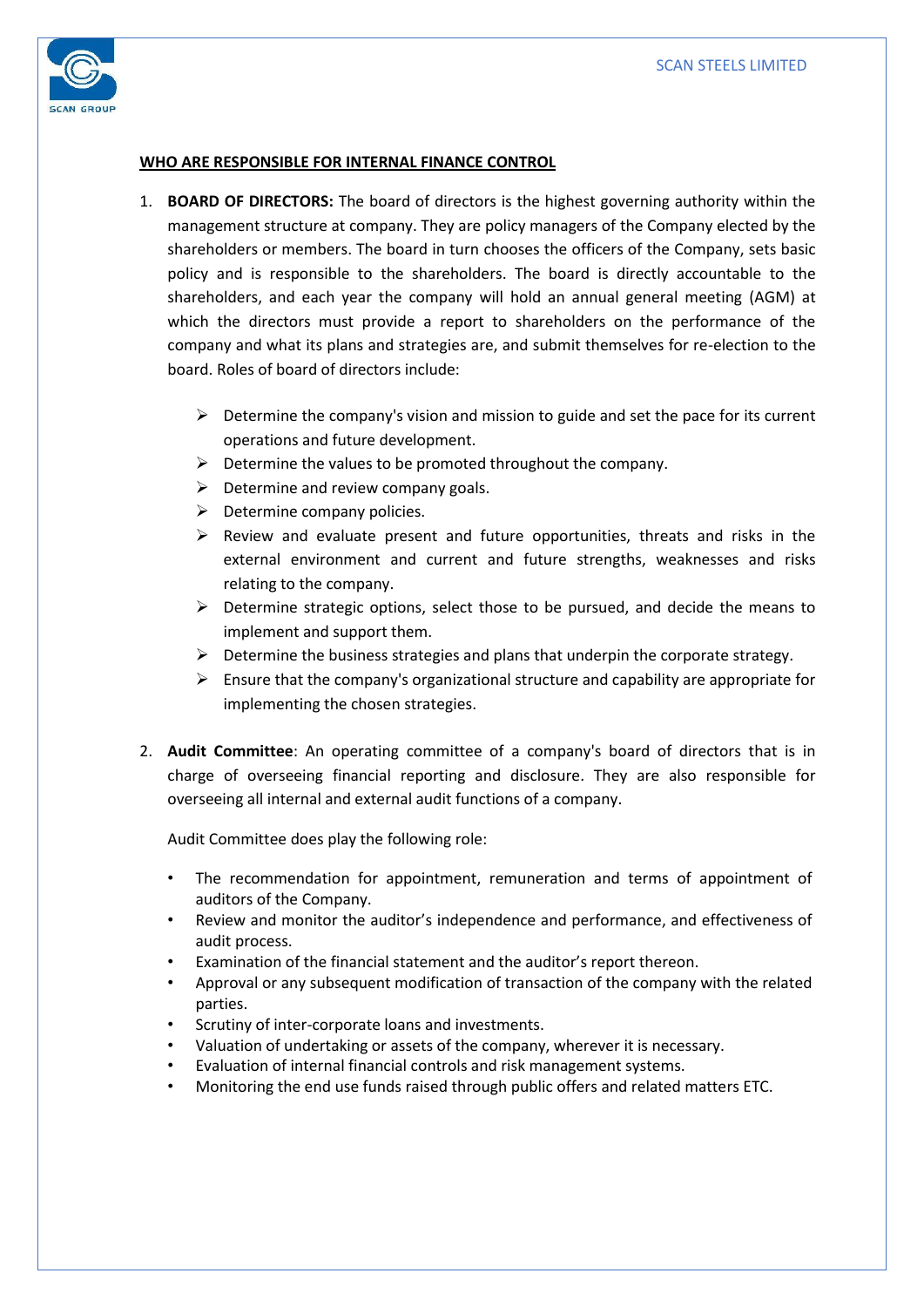

## **WHO ARE RESPONSIBLE FOR INTERNAL FINANCE CONTROL**

- 1. **BOARD OF DIRECTORS:** The board of directors is the highest governing authority within the management structure at company. They are policy managers of the Company elected by the shareholders or members. The board in turn chooses the officers of the Company, sets basic policy and is responsible to the shareholders. The board is directly accountable to the shareholders, and each year the company will hold an annual general meeting (AGM) at which the directors must provide a report to shareholders on the performance of the company and what its plans and strategies are, and submit themselves for re-election to the board. Roles of board of directors include:
	- $\triangleright$  Determine the company's vision and mission to guide and set the pace for its current operations and future development.
	- $\triangleright$  Determine the values to be promoted throughout the company.
	- $\triangleright$  Determine and review company goals.
	- $\triangleright$  Determine company policies.
	- $\triangleright$  Review and evaluate present and future opportunities, threats and risks in the external environment and current and future strengths, weaknesses and risks relating to the company.
	- ➢ Determine strategic options, select those to be pursued, and decide the means to implement and support them.
	- $\triangleright$  Determine the business strategies and plans that underpin the corporate strategy.
	- $\triangleright$  Ensure that the company's organizational structure and capability are appropriate for implementing the chosen strategies.
- 2. **Audit Committee**: An operating committee of a company's board of directors that is in charge of overseeing financial reporting and disclosure. They are also responsible for overseeing all internal and external audit functions of a company.

Audit Committee does play the following role:

- The recommendation for appointment, remuneration and terms of appointment of auditors of the Company.
- Review and monitor the auditor's independence and performance, and effectiveness of audit process.
- Examination of the financial statement and the auditor's report thereon.
- Approval or any subsequent modification of transaction of the company with the related parties.
- Scrutiny of inter-corporate loans and investments.
- Valuation of undertaking or assets of the company, wherever it is necessary.
- Evaluation of internal financial controls and risk management systems.
- Monitoring the end use funds raised through public offers and related matters ETC.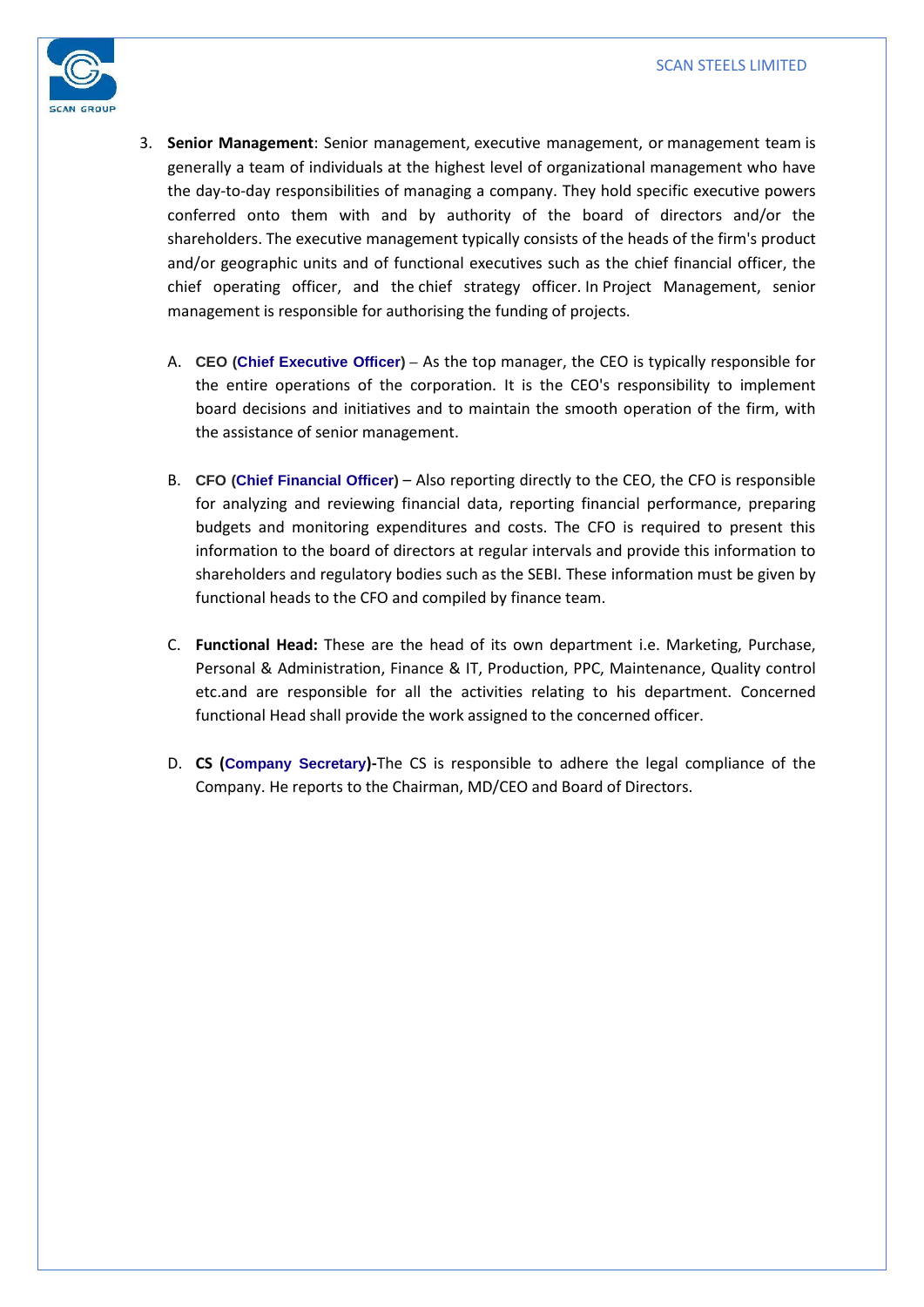

- 3. **Senior Management**: Senior management, executive management, or management team is generally a team of individuals at the highest level of organizational management who have the day-to-day responsibilities of managing a company. They hold specific executive powers conferred onto them with and by authority of the board of directors and/or the shareholders. The executive management typically consists of the heads of the firm's product and/or geographic units and of functional executives such as the chief financial officer, the chief operating officer, and the [chief strategy officer.](http://en.wikipedia.org/wiki/Chief_strategy_officer) In [Project Management,](http://en.wikipedia.org/wiki/Project_Management) senior management is responsible for authorising the funding of projects.
	- A. **CEO [\(Chief Executive Officer\)](http://en.wikipedia.org/wiki/Chief_Executive_Officer)** As the top manager, the CEO is typically responsible for the entire operations of the corporation. It is the CEO's responsibility to implement board decisions and initiatives and to maintain the smooth operation of the firm, with the assistance of senior management.
	- B. **CFO [\(Chief Financial Officer\)](http://en.wikipedia.org/wiki/Chief_Financial_Officer)** Also reporting directly to the CEO, the CFO is responsible for analyzing and reviewing financial data, reporting financial performance, preparing budgets and monitoring expenditures and costs. The CFO is required to present this information to the board of directors at regular intervals and provide this information to shareholders and regulatory bodies such as the SEBI. These information must be given by functional heads to the CFO and compiled by finance team.
	- C. **Functional Head:** These are the head of its own department i.e. Marketing, Purchase, Personal & Administration, Finance & IT, Production, PPC, Maintenance, Quality control etc.and are responsible for all the activities relating to his department. Concerned functional Head shall provide the work assigned to the concerned officer.
	- D. **CS (Company Secretary)-**The CS is responsible to adhere the legal compliance of the Company. He reports to the Chairman, MD/CEO and Board of Directors.